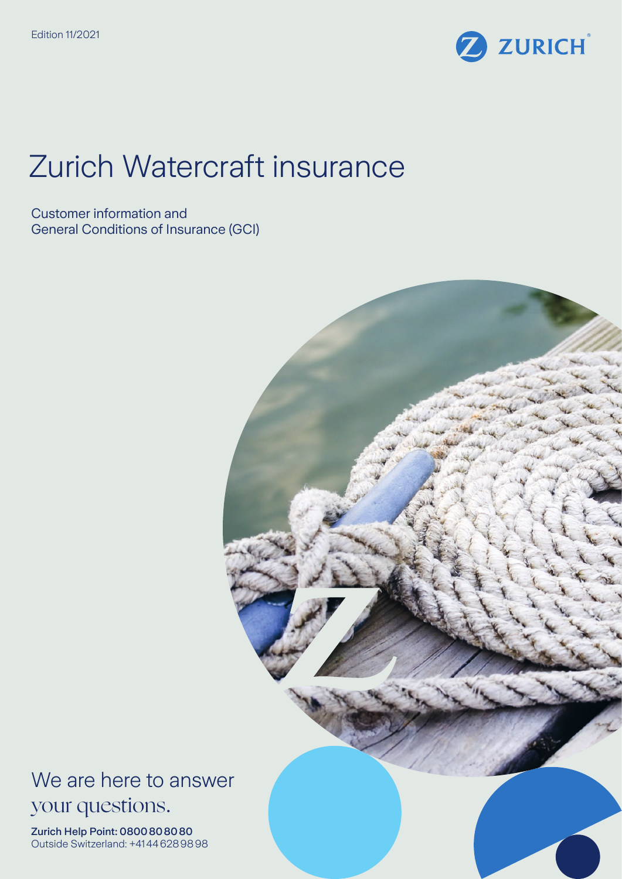

# Zurich Watercraft insurance

Customer information and General Conditions of Insurance (GCI)



We are here to answer your questions.

Zurich Help Point: 0800808080 Outside Switzerland: +41446289898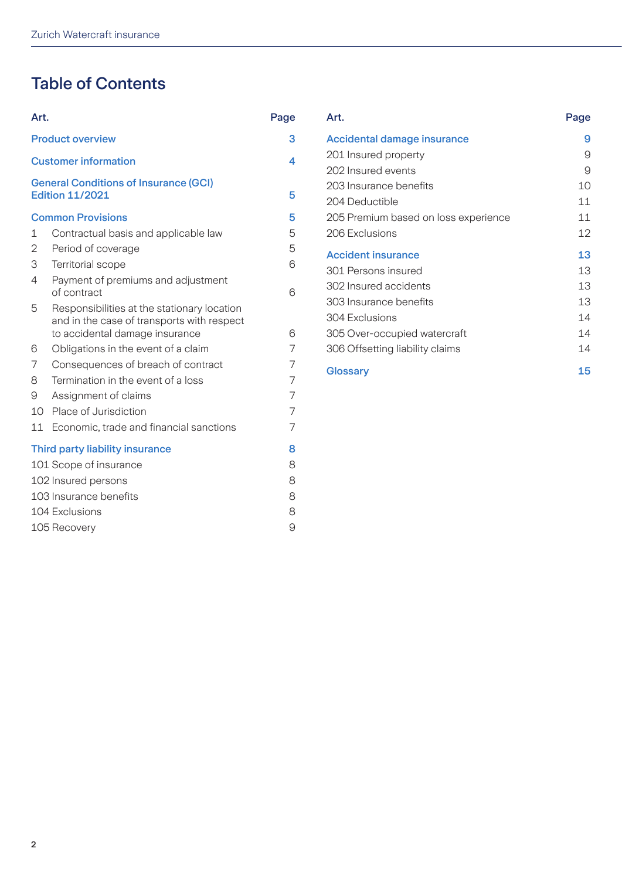# Table of Contents

| Art.                        |                                                                                                                             | Page |
|-----------------------------|-----------------------------------------------------------------------------------------------------------------------------|------|
| <b>Product overview</b>     | 3                                                                                                                           |      |
| <b>Customer information</b> | 4                                                                                                                           |      |
|                             | <b>General Conditions of Insurance (GCI)</b><br><b>Edition 11/2021</b>                                                      | 5    |
|                             | <b>Common Provisions</b>                                                                                                    | 5    |
| $\mathbf{1}$                | Contractual basis and applicable law                                                                                        | 5    |
| 2                           | Period of coverage                                                                                                          | 5    |
| 3                           | <b>Territorial scope</b>                                                                                                    | 6    |
| 4                           | Payment of premiums and adjustment<br>of contract                                                                           | 6    |
| 5                           | Responsibilities at the stationary location<br>and in the case of transports with respect<br>to accidental damage insurance | 6    |
| 6                           | Obligations in the event of a claim                                                                                         | 7    |
| 7                           | Consequences of breach of contract                                                                                          | 7    |
| 8                           | Termination in the event of a loss                                                                                          | 7    |
| 9                           | Assignment of claims                                                                                                        | 7    |
| 10                          | Place of Jurisdiction                                                                                                       | 7    |
| 11                          | Economic, trade and financial sanctions                                                                                     | 7    |
|                             | Third party liability insurance                                                                                             | 8    |
|                             | 101 Scope of insurance                                                                                                      | 8    |
| 102 Insured persons         |                                                                                                                             |      |
| 103 Insurance benefits      |                                                                                                                             |      |
| 104 Exclusions              |                                                                                                                             |      |
| 105 Recovery                |                                                                                                                             |      |

|                                                   | Page                                                                                                                                                                                                                                                                              | Art.                                     | Page                                      |
|---------------------------------------------------|-----------------------------------------------------------------------------------------------------------------------------------------------------------------------------------------------------------------------------------------------------------------------------------|------------------------------------------|-------------------------------------------|
|                                                   | 3                                                                                                                                                                                                                                                                                 | <b>Accidental damage insurance</b>       | 9                                         |
|                                                   | $\overline{\mathbf{4}}$                                                                                                                                                                                                                                                           | 201 Insured property                     | 9                                         |
|                                                   | 5                                                                                                                                                                                                                                                                                 | 203 Insurance benefits<br>204 Deductible | 9<br>10<br>11                             |
|                                                   | 5                                                                                                                                                                                                                                                                                 | 205 Premium based on loss experience     | 11                                        |
| Contractual basis and applicable law              | 5                                                                                                                                                                                                                                                                                 | 206 Exclusions                           | 12                                        |
| Period of coverage                                | 5                                                                                                                                                                                                                                                                                 | <b>Accident insurance</b>                | 13                                        |
| Payment of premiums and adjustment<br>of contract | 6                                                                                                                                                                                                                                                                                 | 302 Insured accidents                    | 13<br>13                                  |
| Responsibilities at the stationary location       |                                                                                                                                                                                                                                                                                   | 303 Insurance benefits<br>304 Exclusions | 13<br>14                                  |
| to accidental damage insurance                    | 6                                                                                                                                                                                                                                                                                 | 305 Over-occupied watercraft             | 14                                        |
| Obligations in the event of a claim               | 7                                                                                                                                                                                                                                                                                 | 306 Offsetting liability claims          | 14                                        |
| Consequences of breach of contract                | 7                                                                                                                                                                                                                                                                                 | <b>Glossary</b>                          | 15                                        |
|                                                   | Art.<br><b>Product overview</b><br><b>Customer information</b><br><b>General Conditions of Insurance (GCI)</b><br><b>Edition 11/2021</b><br><b>Common Provisions</b><br>Territorial scope<br>and in the case of transports with respect<br>Taunsin atian in the a contract a lage | 6                                        | 202 Insured events<br>301 Persons insured |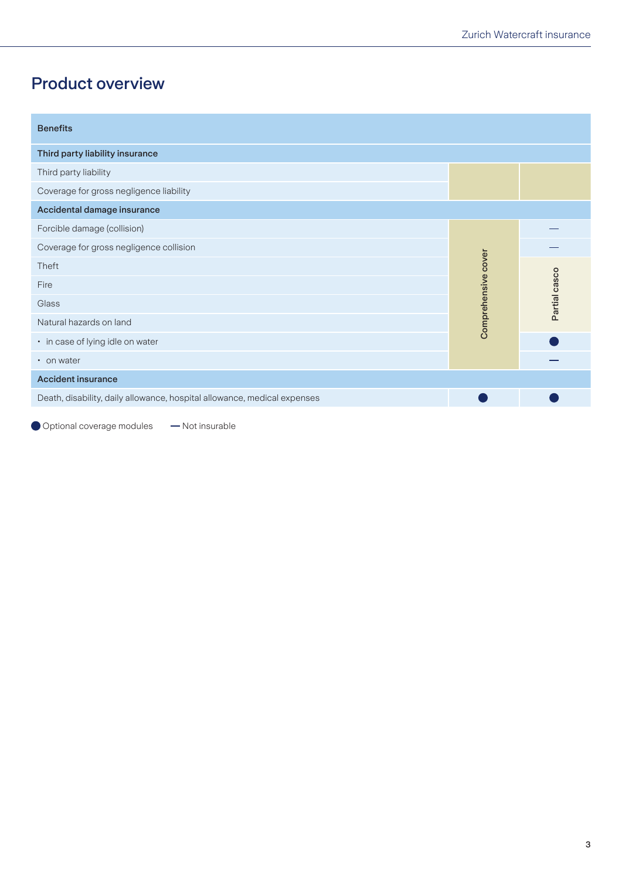## <span id="page-2-0"></span>Product overview

| <b>Benefits</b>                                                          |                     |               |
|--------------------------------------------------------------------------|---------------------|---------------|
| Third party liability insurance                                          |                     |               |
| Third party liability                                                    |                     |               |
| Coverage for gross negligence liability                                  |                     |               |
| Accidental damage insurance                                              |                     |               |
| Forcible damage (collision)                                              |                     |               |
| Coverage for gross negligence collision                                  |                     |               |
| Theft                                                                    |                     |               |
| Fire                                                                     |                     |               |
| Glass                                                                    | Comprehensive cover | Partial casco |
| Natural hazards on land                                                  |                     |               |
| • in case of lying idle on water                                         |                     |               |
| • on water                                                               |                     |               |
| <b>Accident insurance</b>                                                |                     |               |
| Death, disability, daily allowance, hospital allowance, medical expenses |                     |               |

Optional coverage modules - Not insurable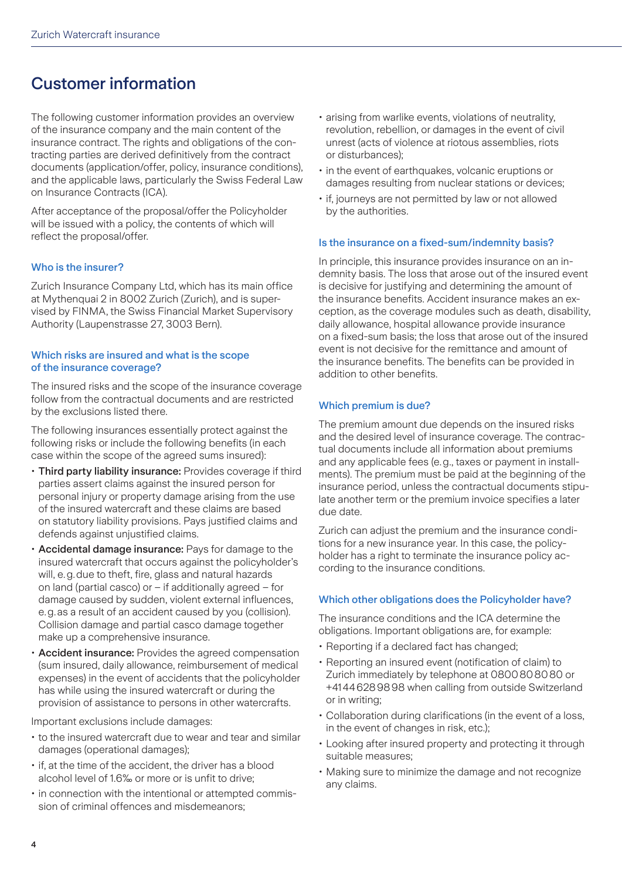### <span id="page-3-0"></span>Customer information

The following customer information provides an overview of the insurance company and the main content of the insurance contract. The rights and obligations of the contracting parties are derived definitively from the contract documents (application/offer, policy, insurance conditions), and the applicable laws, particularly the Swiss Federal Law on Insurance Contracts (ICA).

After acceptance of the proposal/offer the Policyholder will be issued with a policy, the contents of which will reflect the proposal/offer.

### Who is the insurer?

Zurich Insurance Company Ltd, which has its main office at Mythenquai 2 in 8002 Zurich (Zurich), and is supervised by FINMA, the Swiss Financial Market Supervisory Authority (Laupenstrasse 27, 3003 Bern).

### Which risks are insured and what is the scope of the insurance coverage?

The insured risks and the scope of the insurance coverage follow from the contractual documents and are restricted by the exclusions listed there.

The following insurances essentially protect against the following risks or include the following benefits (in each case within the scope of the agreed sums insured):

- Third party liability insurance: Provides coverage if third parties assert claims against the insured person for personal injury or property damage arising from the use of the insured watercraft and these claims are based on statutory liability provisions. Pays justified claims and defends against unjustified claims.
- Accidental damage insurance: Pays for damage to the insured watercraft that occurs against the policyholder's will, e.g.due to theft, fire, glass and natural hazards on land (partial casco) or – if additionally agreed – for damage caused by sudden, violent external influences, e.g.as a result of an accident caused by you (collision). Collision damage and partial casco damage together make up a comprehensive insurance.
- Accident insurance: Provides the agreed compensation (sum insured, daily allowance, reimbursement of medical expenses) in the event of accidents that the policyholder has while using the insured watercraft or during the provision of assistance to persons in other watercrafts.

Important exclusions include damages:

- to the insured watercraft due to wear and tear and similar damages (operational damages);
- if, at the time of the accident, the driver has a blood alcohol level of 1.6‰ or more or is unfit to drive;
- in connection with the intentional or attempted commission of criminal offences and misdemeanors;
- arising from warlike events, violations of neutrality, revolution, rebellion, or damages in the event of civil unrest (acts of violence at riotous assemblies, riots or disturbances);
- in the event of earthquakes, volcanic eruptions or damages resulting from nuclear stations or devices;
- if, journeys are not permitted by law or not allowed by the authorities.

#### Is the insurance on a fixed-sum/indemnity basis?

In principle, this insurance provides insurance on an indemnity basis. The loss that arose out of the insured event is decisive for justifying and determining the amount of the insurance benefits. Accident insurance makes an exception, as the coverage modules such as death, disability, daily allowance, hospital allowance provide insurance on a fixed-sum basis; the loss that arose out of the insured event is not decisive for the remittance and amount of the insurance benefits. The benefits can be provided in addition to other benefits.

### Which premium is due?

The premium amount due depends on the insured risks and the desired level of insurance coverage. The contractual documents include all information about premiums and any applicable fees (e.g., taxes or payment in installments). The premium must be paid at the beginning of the insurance period, unless the contractual documents stipulate another term or the premium invoice specifies a later due date.

Zurich can adjust the premium and the insurance conditions for a new insurance year. In this case, the policyholder has a right to terminate the insurance policy according to the insurance conditions.

### Which other obligations does the Policyholder have?

The insurance conditions and the ICA determine the obligations. Important obligations are, for example:

- Reporting if a declared fact has changed;
- Reporting an insured event (notification of claim) to Zurich immediately by telephone at 0800808080 or +41446289898 when calling from outside Switzerland or in writing;
- Collaboration during clarifications (in the event of a loss, in the event of changes in risk, etc.);
- Looking after insured property and protecting it through suitable measures;
- Making sure to minimize the damage and not recognize any claims.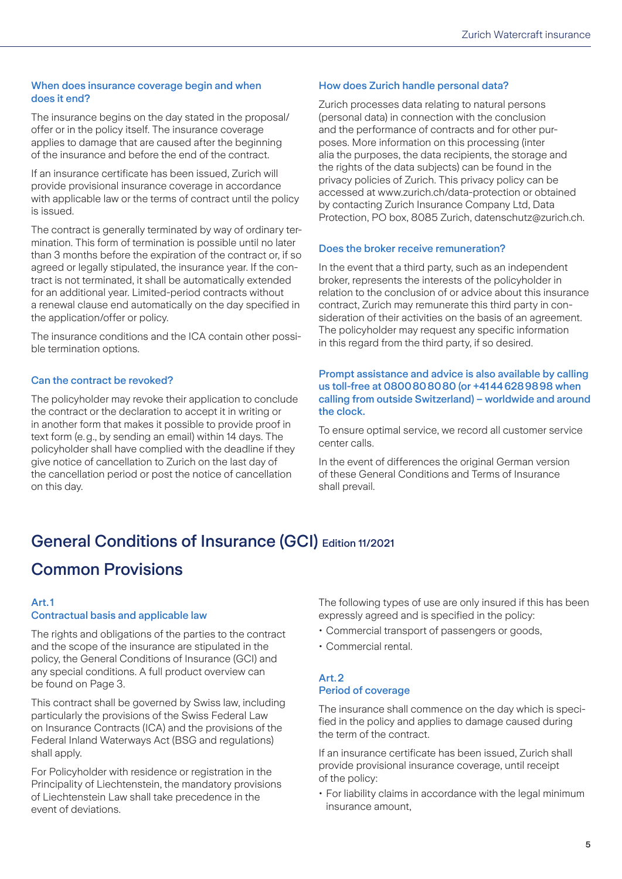### <span id="page-4-0"></span>When does insurance coverage begin and when does it end?

The insurance begins on the day stated in the proposal/ offer or in the policy itself. The insurance coverage applies to damage that are caused after the beginning of the insurance and before the end of the contract.

If an insurance certificate has been issued, Zurich will provide provisional insurance coverage in accordance with applicable law or the terms of contract until the policy is issued.

The contract is generally terminated by way of ordinary termination. This form of termination is possible until no later than 3 months before the expiration of the contract or, if so agreed or legally stipulated, the insurance year. If the contract is not terminated, it shall be automatically extended for an additional year. Limited-period contracts without a renewal clause end automatically on the day specified in the application/offer or policy.

The insurance conditions and the ICA contain other possible termination options.

### Can the contract be revoked?

The policyholder may revoke their application to conclude the contract or the declaration to accept it in writing or in another form that makes it possible to provide proof in text form (e.g., by sending an email) within 14 days. The policyholder shall have complied with the deadline if they give notice of cancellation to Zurich on the last day of the cancellation period or post the notice of cancellation on this day.

### How does Zurich handle personal data?

Zurich processes data relating to natural persons (personal data) in connection with the conclusion and the performance of contracts and for other purposes. More information on this processing (inter alia the purposes, the data recipients, the storage and the rights of the data subjects) can be found in the privacy policies of Zurich. This privacy policy can be accessed at www.zurich.ch/data-protection or obtained by contacting Zurich Insurance Company Ltd, Data Protection, PO box, 8085 Zurich, datenschutz@zurich.ch.

### Does the broker receive remuneration?

In the event that a third party, such as an independent broker, represents the interests of the policyholder in relation to the conclusion of or advice about this insurance contract, Zurich may remunerate this third party in consideration of their activities on the basis of an agreement. The policyholder may request any specific information in this regard from the third party, if so desired.

### Prompt assistance and advice is also available by calling us toll-free at 0800808080 (or +41446289898 when calling from outside Switzerland) – worldwide and around the clock.

To ensure optimal service, we record all customer service center calls.

In the event of differences the original German version of these General Conditions and Terms of Insurance shall prevail.

# General Conditions of Insurance (GCI) Edition 11/2021

### Common Provisions

### Art.1

### Contractual basis and applicable law

The rights and obligations of the parties to the contract and the scope of the insurance are stipulated in the policy, the General Conditions of Insurance (GCI) and any special conditions. A full product overview can be found on Page 3.

This contract shall be governed by Swiss law, including particularly the provisions of the Swiss Federal Law on Insurance Contracts (ICA) and the provisions of the Federal Inland Waterways Act (BSG and regulations) shall apply.

For Policyholder with residence or registration in the Principality of Liechtenstein, the mandatory provisions of Liechtenstein Law shall take precedence in the event of deviations.

The following types of use are only insured if this has been expressly agreed and is specified in the policy:

- Commercial transport of passengers or goods,
- Commercial rental.

### Art.2 Period of coverage

The insurance shall commence on the day which is specified in the policy and applies to damage caused during the term of the contract.

If an insurance certificate has been issued, Zurich shall provide provisional insurance coverage, until receipt of the policy:

• For liability claims in accordance with the legal minimum insurance amount,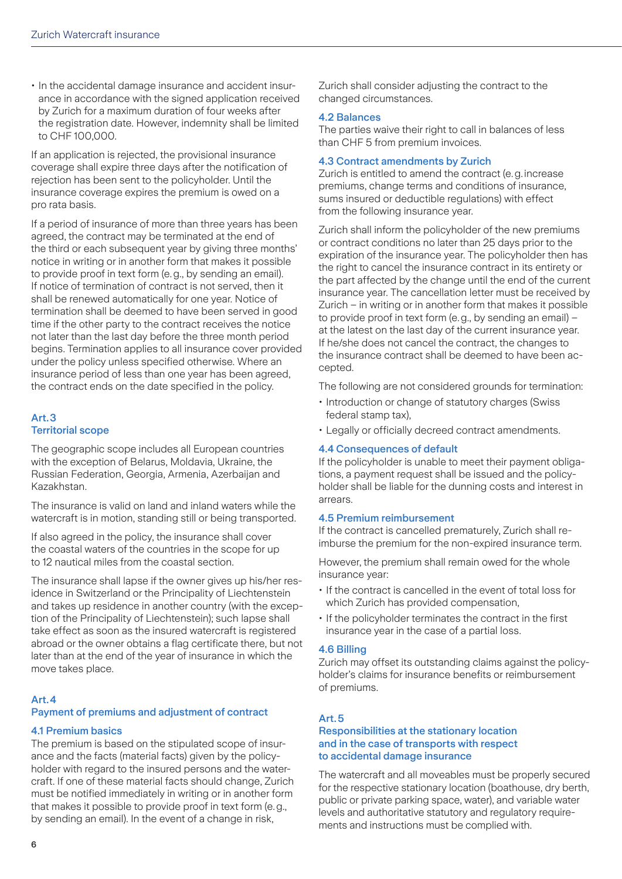<span id="page-5-0"></span>• In the accidental damage insurance and accident insurance in accordance with the signed application received by Zurich for a maximum duration of four weeks after the registration date. However, indemnity shall be limited to CHF 100,000.

If an application is rejected, the provisional insurance coverage shall expire three days after the notification of rejection has been sent to the policyholder. Until the insurance coverage expires the premium is owed on a pro rata basis.

If a period of insurance of more than three years has been agreed, the contract may be terminated at the end of the third or each subsequent year by giving three months' notice in writing or in another form that makes it possible to provide proof in text form (e.g., by sending an email). If notice of termination of contract is not served, then it shall be renewed automatically for one year. Notice of termination shall be deemed to have been served in good time if the other party to the contract receives the notice not later than the last day before the three month period begins. Termination applies to all insurance cover provided under the policy unless specified otherwise. Where an insurance period of less than one year has been agreed, the contract ends on the date specified in the policy.

### Art.3 Territorial scope

The geographic scope includes all European countries with the exception of Belarus, Moldavia, Ukraine, the Russian Federation, Georgia, Armenia, Azerbaijan and Kazakhstan.

The insurance is valid on land and inland waters while the watercraft is in motion, standing still or being transported.

If also agreed in the policy, the insurance shall cover the coastal waters of the countries in the scope for up to 12 nautical miles from the coastal section.

The insurance shall lapse if the owner gives up his/her residence in Switzerland or the Principality of Liechtenstein and takes up residence in another country (with the exception of the Principality of Liechtenstein); such lapse shall take effect as soon as the insured watercraft is registered abroad or the owner obtains a flag certificate there, but not later than at the end of the year of insurance in which the move takes place.

### Art.4

### Payment of premiums and adjustment of contract

### 4.1 Premium basics

The premium is based on the stipulated scope of insurance and the facts (material facts) given by the policyholder with regard to the insured persons and the watercraft. If one of these material facts should change, Zurich must be notified immediately in writing or in another form that makes it possible to provide proof in text form (e.g., by sending an email). In the event of a change in risk,

Zurich shall consider adjusting the contract to the changed circumstances.

### 4.2 Balances

The parties waive their right to call in balances of less than CHF 5 from premium invoices.

### 4.3 Contract amendments by Zurich

Zurich is entitled to amend the contract (e.g. increase premiums, change terms and conditions of insurance, sums insured or deductible regulations) with effect from the following insurance year.

Zurich shall inform the policyholder of the new premiums or contract conditions no later than 25 days prior to the expiration of the insurance year. The policyholder then has the right to cancel the insurance contract in its entirety or the part affected by the change until the end of the current insurance year. The cancellation letter must be received by Zurich – in writing or in another form that makes it possible to provide proof in text form (e.g., by sending an email) – at the latest on the last day of the current insurance year. If he/she does not cancel the contract, the changes to the insurance contract shall be deemed to have been accepted.

The following are not considered grounds for termination:

- Introduction or change of statutory charges (Swiss federal stamp tax),
- Legally or officially decreed contract amendments.

### 4.4 Consequences of default

If the policyholder is unable to meet their payment obligations, a payment request shall be issued and the policyholder shall be liable for the dunning costs and interest in arrears.

### 4.5 Premium reimbursement

If the contract is cancelled prematurely, Zurich shall reimburse the premium for the non-expired insurance term.

However, the premium shall remain owed for the whole insurance year:

- If the contract is cancelled in the event of total loss for which Zurich has provided compensation,
- If the policyholder terminates the contract in the first insurance year in the case of a partial loss.

### 4.6 Billing

Zurich may offset its outstanding claims against the policyholder's claims for insurance benefits or reimbursement of premiums.

### Art.5

### Responsibilities at the stationary location and in the case of transports with respect to accidental damage insurance

The watercraft and all moveables must be properly secured for the respective stationary location (boathouse, dry berth, public or private parking space, water), and variable water levels and authoritative statutory and regulatory requirements and instructions must be complied with.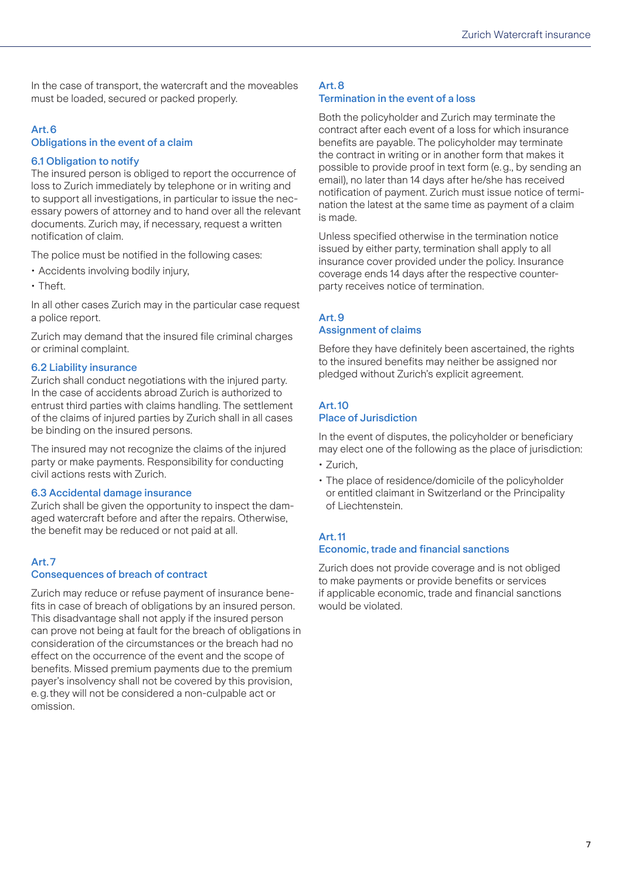<span id="page-6-0"></span>In the case of transport, the watercraft and the moveables must be loaded, secured or packed properly.

### Art.6

### Obligations in the event of a claim

### 6.1 Obligation to notify

The insured person is obliged to report the occurrence of loss to Zurich immediately by telephone or in writing and to support all investigations, in particular to issue the necessary powers of attorney and to hand over all the relevant documents. Zurich may, if necessary, request a written notification of claim.

The police must be notified in the following cases:

- Accidents involving bodily injury,
- Theft.

In all other cases Zurich may in the particular case request a police report.

Zurich may demand that the insured file criminal charges or criminal complaint.

### 6.2 Liability insurance

Zurich shall conduct negotiations with the injured party. In the case of accidents abroad Zurich is authorized to entrust third parties with claims handling. The settlement of the claims of injured parties by Zurich shall in all cases be binding on the insured persons.

The insured may not recognize the claims of the injured party or make payments. Responsibility for conducting civil actions rests with Zurich.

### 6.3 Accidental damage insurance

Zurich shall be given the opportunity to inspect the damaged watercraft before and after the repairs. Otherwise, the benefit may be reduced or not paid at all.

### Art.7

### Consequences of breach of contract

Zurich may reduce or refuse payment of insurance benefits in case of breach of obligations by an insured person. This disadvantage shall not apply if the insured person can prove not being at fault for the breach of obligations in consideration of the circumstances or the breach had no effect on the occurrence of the event and the scope of benefits. Missed premium payments due to the premium payer's insolvency shall not be covered by this provision, e.g.they will not be considered a non-culpable act or omission.

### Art.8 Termination in the event of a loss

Both the policyholder and Zurich may terminate the contract after each event of a loss for which insurance benefits are payable. The policyholder may terminate the contract in writing or in another form that makes it possible to provide proof in text form (e.g., by sending an email), no later than 14 days after he/she has received notification of payment. Zurich must issue notice of termination the latest at the same time as payment of a claim is made.

Unless specified otherwise in the termination notice issued by either party, termination shall apply to all insurance cover provided under the policy. Insurance coverage ends 14 days after the respective counterparty receives notice of termination.

### Art.9

#### Assignment of claims

Before they have definitely been ascertained, the rights to the insured benefits may neither be assigned nor pledged without Zurich's explicit agreement.

### Art.10 Place of Jurisdiction

In the event of disputes, the policyholder or beneficiary may elect one of the following as the place of jurisdiction:

- Zurich,
- The place of residence/domicile of the policyholder or entitled claimant in Switzerland or the Principality of Liechtenstein.

### Art.11

### Economic, trade and financial sanctions

Zurich does not provide coverage and is not obliged to make payments or provide benefits or services if applicable economic, trade and financial sanctions would be violated.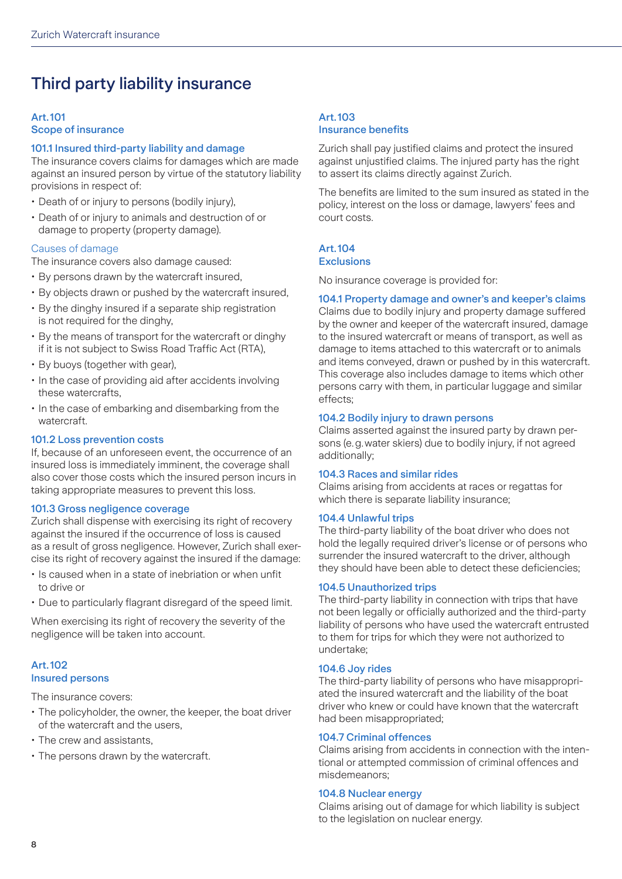# <span id="page-7-0"></span>Third party liability insurance

### Art.101 Scope of insurance

### 101.1 Insured third-party liability and damage

The insurance covers claims for damages which are made against an insured person by virtue of the statutory liability provisions in respect of:

- Death of or injury to persons (bodily injury),
- Death of or injury to animals and destruction of or damage to property (property damage).

### Causes of damage

The insurance covers also damage caused:

- By persons drawn by the watercraft insured,
- By objects drawn or pushed by the watercraft insured,
- By the dinghy insured if a separate ship registration is not required for the dinghy,
- By the means of transport for the watercraft or dinghy if it is not subject to Swiss Road Traffic Act (RTA),
- By buoys (together with gear),
- In the case of providing aid after accidents involving these watercrafts,
- In the case of embarking and disembarking from the watercraft.

### 101.2 Loss prevention costs

If, because of an unforeseen event, the occurrence of an insured loss is immediately imminent, the coverage shall also cover those costs which the insured person incurs in taking appropriate measures to prevent this loss.

### 101.3 Gross negligence coverage

Zurich shall dispense with exercising its right of recovery against the insured if the occurrence of loss is caused as a result of gross negligence. However, Zurich shall exercise its right of recovery against the insured if the damage:

- Is caused when in a state of inebriation or when unfit to drive or
- Due to particularly flagrant disregard of the speed limit.

When exercising its right of recovery the severity of the negligence will be taken into account.

### Art.102 Insured persons

The insurance covers:

- The policyholder, the owner, the keeper, the boat driver of the watercraft and the users,
- The crew and assistants,
- The persons drawn by the watercraft.

### Art.103 Insurance benefits

Zurich shall pay justified claims and protect the insured against unjustified claims. The injured party has the right to assert its claims directly against Zurich.

The benefits are limited to the sum insured as stated in the policy, interest on the loss or damage, lawyers' fees and court costs.

### Art.104

### **Exclusions**

No insurance coverage is provided for:

### 104.1 Property damage and owner's and keeper's claims

Claims due to bodily injury and property damage suffered by the owner and keeper of the watercraft insured, damage to the insured watercraft or means of transport, as well as damage to items attached to this watercraft or to animals and items conveyed, drawn or pushed by in this watercraft. This coverage also includes damage to items which other persons carry with them, in particular luggage and similar effects;

### 104.2 Bodily injury to drawn persons

Claims asserted against the insured party by drawn persons (e.g.water skiers) due to bodily injury, if not agreed additionally;

### 104.3 Races and similar rides

Claims arising from accidents at races or regattas for which there is separate liability insurance;

### 104.4 Unlawful trips

The third-party liability of the boat driver who does not hold the legally required driver's license or of persons who surrender the insured watercraft to the driver, although they should have been able to detect these deficiencies;

### 104.5 Unauthorized trips

The third-party liability in connection with trips that have not been legally or officially authorized and the third-party liability of persons who have used the watercraft entrusted to them for trips for which they were not authorized to undertake;

### 104.6 Joy rides

The third-party liability of persons who have misappropriated the insured watercraft and the liability of the boat driver who knew or could have known that the watercraft had been misappropriated;

### 104.7 Criminal offences

Claims arising from accidents in connection with the intentional or attempted commission of criminal offences and misdemeanors;

### 104.8 Nuclear energy

Claims arising out of damage for which liability is subject to the legislation on nuclear energy.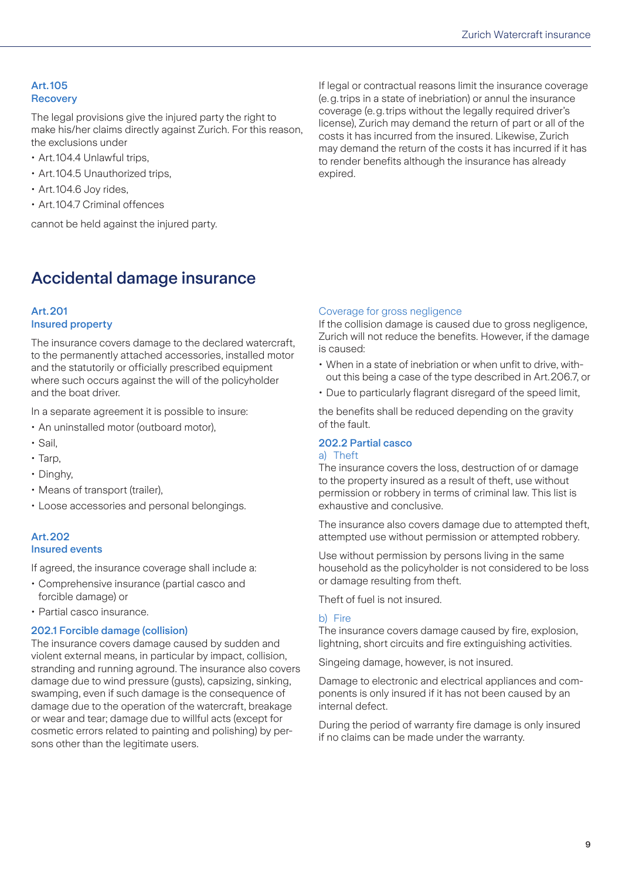### <span id="page-8-0"></span>Art.105 **Recovery**

The legal provisions give the injured party the right to make his/her claims directly against Zurich. For this reason, the exclusions under

- Art.104.4 Unlawful trips,
- Art.104.5 Unauthorized trips,
- Art.104.6 Joy rides,
- Art.104.7 Criminal offences

cannot be held against the injured party.

If legal or contractual reasons limit the insurance coverage (e.g.trips in a state of inebriation) or annul the insurance coverage (e.g.trips without the legally required driver's license), Zurich may demand the return of part or all of the costs it has incurred from the insured. Likewise, Zurich may demand the return of the costs it has incurred if it has to render benefits although the insurance has already expired.

### Accidental damage insurance

### Art.201 Insured property

The insurance covers damage to the declared watercraft, to the permanently attached accessories, installed motor and the statutorily or officially prescribed equipment where such occurs against the will of the policyholder and the boat driver.

In a separate agreement it is possible to insure:

- An uninstalled motor (outboard motor),
- Sail,
- Tarp,
- Dinghy,
- Means of transport (trailer),
- Loose accessories and personal belongings.

### Art.202 Insured events

If agreed, the insurance coverage shall include a:

- Comprehensive insurance (partial casco and forcible damage) or
- Partial casco insurance.

### 202.1 Forcible damage (collision)

The insurance covers damage caused by sudden and violent external means, in particular by impact, collision, stranding and running aground. The insurance also covers damage due to wind pressure (gusts), capsizing, sinking, swamping, even if such damage is the consequence of damage due to the operation of the watercraft, breakage or wear and tear; damage due to willful acts (except for cosmetic errors related to painting and polishing) by persons other than the legitimate users.

### Coverage for gross negligence

If the collision damage is caused due to gross negligence, Zurich will not reduce the benefits. However, if the damage is caused:

- When in a state of inebriation or when unfit to drive, without this being a case of the type described in Art.206.7, or
- Due to particularly flagrant disregard of the speed limit,

the benefits shall be reduced depending on the gravity of the fault.

### 202.2 Partial casco

### a) Theft

The insurance covers the loss, destruction of or damage to the property insured as a result of theft, use without permission or robbery in terms of criminal law. This list is exhaustive and conclusive.

The insurance also covers damage due to attempted theft, attempted use without permission or attempted robbery.

Use without permission by persons living in the same household as the policyholder is not considered to be loss or damage resulting from theft.

Theft of fuel is not insured.

### b) Fire

The insurance covers damage caused by fire, explosion, lightning, short circuits and fire extinguishing activities.

Singeing damage, however, is not insured.

Damage to electronic and electrical appliances and components is only insured if it has not been caused by an internal defect.

During the period of warranty fire damage is only insured if no claims can be made under the warranty.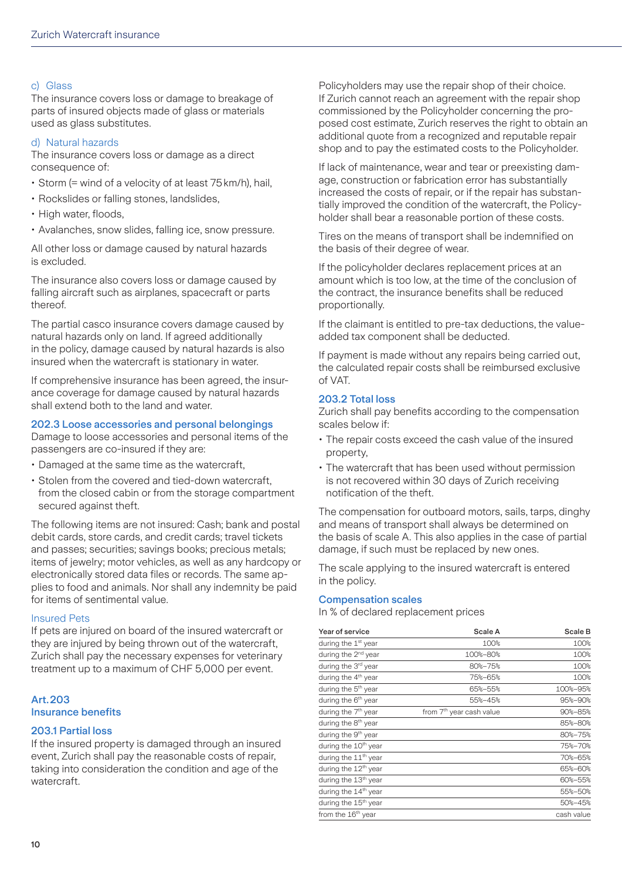### <span id="page-9-0"></span>c) Glass

The insurance covers loss or damage to breakage of parts of insured objects made of glass or materials used as glass substitutes.

### d) Natural hazards

The insurance covers loss or damage as a direct consequence of:

- Storm (= wind of a velocity of at least 75km/h), hail,
- Rockslides or falling stones, landslides,
- High water, floods,
- Avalanches, snow slides, falling ice, snow pressure.

All other loss or damage caused by natural hazards is excluded.

The insurance also covers loss or damage caused by falling aircraft such as airplanes, spacecraft or parts thereof.

The partial casco insurance covers damage caused by natural hazards only on land. If agreed additionally in the policy, damage caused by natural hazards is also insured when the watercraft is stationary in water.

If comprehensive insurance has been agreed, the insurance coverage for damage caused by natural hazards shall extend both to the land and water.

### 202.3 Loose accessories and personal belongings

Damage to loose accessories and personal items of the passengers are co-insured if they are:

- Damaged at the same time as the watercraft,
- Stolen from the covered and tied-down watercraft, from the closed cabin or from the storage compartment secured against theft.

The following items are not insured: Cash; bank and postal debit cards, store cards, and credit cards; travel tickets and passes; securities; savings books; precious metals; items of jewelry; motor vehicles, as well as any hardcopy or electronically stored data files or records. The same applies to food and animals. Nor shall any indemnity be paid for items of sentimental value.

### Insured Pets

If pets are injured on board of the insured watercraft or they are injured by being thrown out of the watercraft, Zurich shall pay the necessary expenses for veterinary treatment up to a maximum of CHF 5,000 per event.

### Art.203 Insurance benefits

### 203.1 Partial loss

If the insured property is damaged through an insured event, Zurich shall pay the reasonable costs of repair, taking into consideration the condition and age of the watercraft.

Policyholders may use the repair shop of their choice. If Zurich cannot reach an agreement with the repair shop commissioned by the Policyholder concerning the proposed cost estimate, Zurich reserves the right to obtain an additional quote from a recognized and reputable repair shop and to pay the estimated costs to the Policyholder.

If lack of maintenance, wear and tear or preexisting damage, construction or fabrication error has substantially increased the costs of repair, or if the repair has substantially improved the condition of the watercraft, the Policyholder shall bear a reasonable portion of these costs.

Tires on the means of transport shall be indemnified on the basis of their degree of wear.

If the policyholder declares replacement prices at an amount which is too low, at the time of the conclusion of the contract, the insurance benefits shall be reduced proportionally.

If the claimant is entitled to pre-tax deductions, the valueadded tax component shall be deducted.

If payment is made without any repairs being carried out, the calculated repair costs shall be reimbursed exclusive of VAT.

### 203.2 Total loss

Zurich shall pay benefits according to the compensation scales below if:

- The repair costs exceed the cash value of the insured property,
- The watercraft that has been used without permission is not recovered within 30 days of Zurich receiving notification of the theft.

The compensation for outboard motors, sails, tarps, dinghy and means of transport shall always be determined on the basis of scale A. This also applies in the case of partial damage, if such must be replaced by new ones.

The scale applying to the insured watercraft is entered in the policy.

### Compensation scales

In % of declared replacement prices

| Year of service                  | Scale A                              | Scale B    |
|----------------------------------|--------------------------------------|------------|
| during the 1 <sup>st</sup> year  | 100%                                 | 100%       |
| during the 2 <sup>nd</sup> year  | 100%-80%                             | 100%       |
| during the 3 <sup>rd</sup> year  | 80%-75%                              | 100%       |
| during the 4 <sup>th</sup> year  | 75%-65%                              | 100%       |
| during the 5 <sup>th</sup> year  | 65%-55%                              | 100%-95%   |
| during the 6 <sup>th</sup> year  | 55%-45%                              | 95%-90%    |
| during the 7 <sup>th</sup> year  | from 7 <sup>th</sup> year cash value | 90%-85%    |
| during the 8 <sup>th</sup> year  |                                      | 85%-80%    |
| during the 9 <sup>th</sup> year  |                                      | 80%-75%    |
| during the 10 <sup>th</sup> year |                                      | 75%-70%    |
| during the 11 <sup>th</sup> year |                                      | 70%-65%    |
| during the 12 <sup>th</sup> year |                                      | 65%-60%    |
| during the 13 <sup>th</sup> year |                                      | 60%-55%    |
| during the 14 <sup>th</sup> year |                                      | 55%-50%    |
| during the 15 <sup>th</sup> year |                                      | 50%-45%    |
| from the 16 <sup>th</sup> year   |                                      | cash value |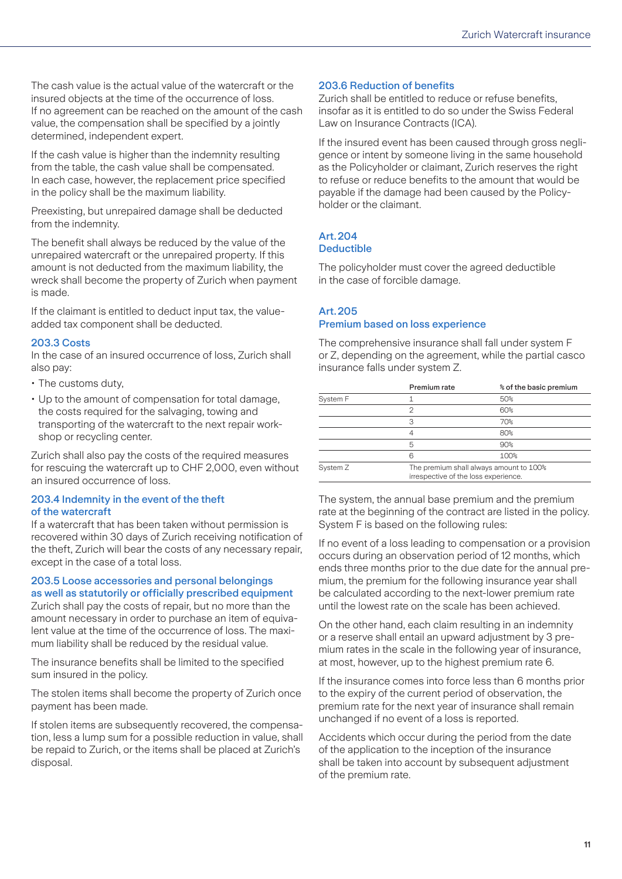<span id="page-10-0"></span>The cash value is the actual value of the watercraft or the insured objects at the time of the occurrence of loss. If no agreement can be reached on the amount of the cash value, the compensation shall be specified by a jointly determined, independent expert.

If the cash value is higher than the indemnity resulting from the table, the cash value shall be compensated. In each case, however, the replacement price specified in the policy shall be the maximum liability.

Preexisting, but unrepaired damage shall be deducted from the indemnity.

The benefit shall always be reduced by the value of the unrepaired watercraft or the unrepaired property. If this amount is not deducted from the maximum liability, the wreck shall become the property of Zurich when payment is made.

If the claimant is entitled to deduct input tax, the valueadded tax component shall be deducted.

### 203.3 Costs

In the case of an insured occurrence of loss, Zurich shall also pay:

- The customs duty,
- Up to the amount of compensation for total damage, the costs required for the salvaging, towing and transporting of the watercraft to the next repair workshop or recycling center.

Zurich shall also pay the costs of the required measures for rescuing the watercraft up to CHF 2,000, even without an insured occurrence of loss.

### 203.4 Indemnity in the event of the theft of the watercraft

If a watercraft that has been taken without permission is recovered within 30 days of Zurich receiving notification of the theft, Zurich will bear the costs of any necessary repair, except in the case of a total loss.

### 203.5 Loose accessories and personal belongings as well as statutorily or officially prescribed equipment

Zurich shall pay the costs of repair, but no more than the amount necessary in order to purchase an item of equivalent value at the time of the occurrence of loss. The maximum liability shall be reduced by the residual value.

The insurance benefits shall be limited to the specified sum insured in the policy.

The stolen items shall become the property of Zurich once payment has been made.

If stolen items are subsequently recovered, the compensation, less a lump sum for a possible reduction in value, shall be repaid to Zurich, or the items shall be placed at Zurich's disposal.

### 203.6 Reduction of benefits

Zurich shall be entitled to reduce or refuse benefits, insofar as it is entitled to do so under the Swiss Federal Law on Insurance Contracts (ICA).

If the insured event has been caused through gross negligence or intent by someone living in the same household as the Policyholder or claimant, Zurich reserves the right to refuse or reduce benefits to the amount that would be payable if the damage had been caused by the Policyholder or the claimant.

### Art. 204 Deductible

The policyholder must cover the agreed deductible in the case of forcible damage.

### Art.205

### Premium based on loss experience

The comprehensive insurance shall fall under system F or Z, depending on the agreement, while the partial casco insurance falls under system Z.

|          | Premium rate                         | % of the basic premium                  |
|----------|--------------------------------------|-----------------------------------------|
| System F |                                      | 50%                                     |
|          | っ                                    | 60%                                     |
|          | З                                    | 70%                                     |
|          | 4                                    | 80%                                     |
|          | 5                                    | 90%                                     |
|          |                                      | 100%                                    |
| System Z | irrespective of the loss experience. | The premium shall always amount to 100% |

The system, the annual base premium and the premium rate at the beginning of the contract are listed in the policy. System F is based on the following rules:

If no event of a loss leading to compensation or a provision occurs during an observation period of 12 months, which ends three months prior to the due date for the annual premium, the premium for the following insurance year shall be calculated according to the next-lower premium rate until the lowest rate on the scale has been achieved.

On the other hand, each claim resulting in an indemnity or a reserve shall entail an upward adjustment by 3 premium rates in the scale in the following year of insurance, at most, however, up to the highest premium rate 6.

If the insurance comes into force less than 6 months prior to the expiry of the current period of observation, the premium rate for the next year of insurance shall remain unchanged if no event of a loss is reported.

Accidents which occur during the period from the date of the application to the inception of the insurance shall be taken into account by subsequent adjustment of the premium rate.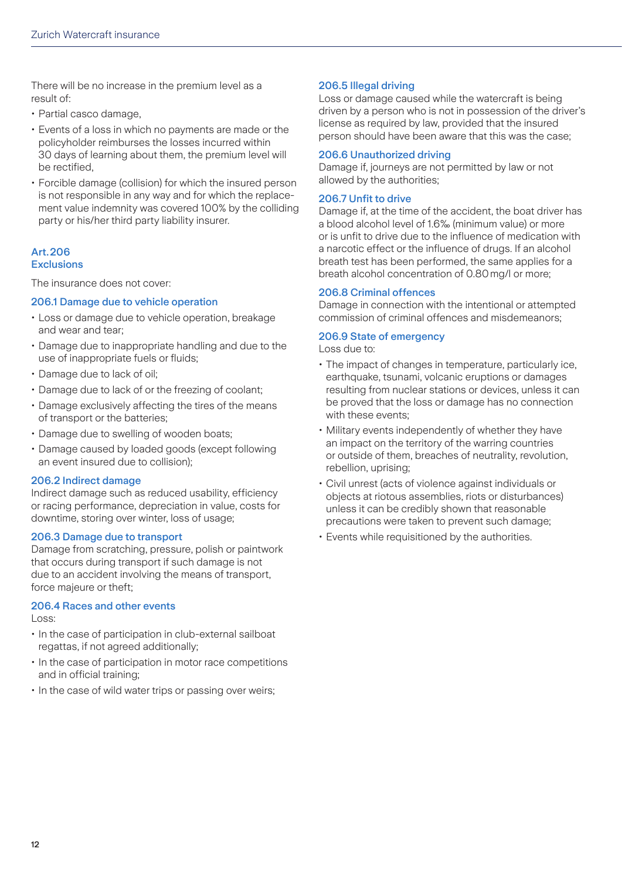<span id="page-11-0"></span>There will be no increase in the premium level as a result of:

- Partial casco damage,
- Events of a loss in which no payments are made or the policyholder reimburses the losses incurred within 30 days of learning about them, the premium level will be rectified,
- Forcible damage (collision) for which the insured person is not responsible in any way and for which the replacement value indemnity was covered 100% by the colliding party or his/her third party liability insurer.

### Art.206 **Exclusions**

The insurance does not cover:

### 206.1 Damage due to vehicle operation

- Loss or damage due to vehicle operation, breakage and wear and tear;
- Damage due to inappropriate handling and due to the use of inappropriate fuels or fluids;
- Damage due to lack of oil;
- Damage due to lack of or the freezing of coolant;
- Damage exclusively affecting the tires of the means of transport or the batteries;
- Damage due to swelling of wooden boats;
- Damage caused by loaded goods (except following an event insured due to collision);

### 206.2 Indirect damage

Indirect damage such as reduced usability, efficiency or racing performance, depreciation in value, costs for downtime, storing over winter, loss of usage;

### 206.3 Damage due to transport

Damage from scratching, pressure, polish or paintwork that occurs during transport if such damage is not due to an accident involving the means of transport, force majeure or theft;

### 206.4 Races and other events

Loss:

- In the case of participation in club-external sailboat regattas, if not agreed additionally;
- In the case of participation in motor race competitions and in official training;
- In the case of wild water trips or passing over weirs;

### 206.5 Illegal driving

Loss or damage caused while the watercraft is being driven by a person who is not in possession of the driver's license as required by law, provided that the insured person should have been aware that this was the case;

### 206.6 Unauthorized driving

Damage if, journeys are not permitted by law or not allowed by the authorities;

### 206.7 Unfit to drive

Damage if, at the time of the accident, the boat driver has a blood alcohol level of 1.6‰ (minimum value) or more or is unfit to drive due to the influence of medication with a narcotic effect or the influence of drugs. If an alcohol breath test has been performed, the same applies for a breath alcohol concentration of 0.80mg/l or more;

### 206.8 Criminal offences

Damage in connection with the intentional or attempted commission of criminal offences and misdemeanors;

### 206.9 State of emergency

Loss due to:

- The impact of changes in temperature, particularly ice, earthquake, tsunami, volcanic eruptions or damages resulting from nuclear stations or devices, unless it can be proved that the loss or damage has no connection with these events;
- Military events independently of whether they have an impact on the territory of the warring countries or outside of them, breaches of neutrality, revolution, rebellion, uprising;
- Civil unrest (acts of violence against individuals or objects at riotous assemblies, riots or disturbances) unless it can be credibly shown that reasonable precautions were taken to prevent such damage;
- Events while requisitioned by the authorities.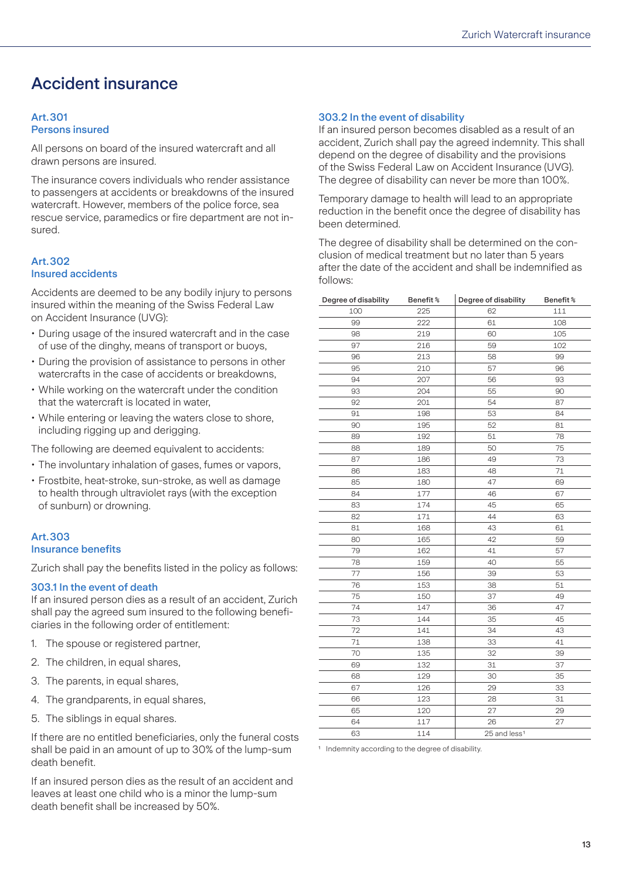### <span id="page-12-0"></span>Accident insurance

#### Art.301 Persons insured

All persons on board of the insured watercraft and all drawn persons are insured.

The insurance covers individuals who render assistance to passengers at accidents or breakdowns of the insured watercraft. However, members of the police force, sea rescue service, paramedics or fire department are not insured.

### Art.302 Insured accidents

Accidents are deemed to be any bodily injury to persons insured within the meaning of the Swiss Federal Law on Accident Insurance (UVG):

- During usage of the insured watercraft and in the case of use of the dinghy, means of transport or buoys,
- During the provision of assistance to persons in other watercrafts in the case of accidents or breakdowns,
- While working on the watercraft under the condition that the watercraft is located in water,
- While entering or leaving the waters close to shore, including rigging up and derigging.

The following are deemed equivalent to accidents:

- The involuntary inhalation of gases, fumes or vapors,
- Frostbite, heat-stroke, sun-stroke, as well as damage to health through ultraviolet rays (with the exception of sunburn) or drowning.

### Art.303 Insurance benefits

Zurich shall pay the benefits listed in the policy as follows:

### 303.1 In the event of death

If an insured person dies as a result of an accident, Zurich shall pay the agreed sum insured to the following beneficiaries in the following order of entitlement:

- 1. The spouse or registered partner,
- 2. The children, in equal shares,
- 3. The parents, in equal shares,
- 4. The grandparents, in equal shares,
- 5. The siblings in equal shares.

If there are no entitled beneficiaries, only the funeral costs shall be paid in an amount of up to 30% of the lump-sum death benefit.

If an insured person dies as the result of an accident and leaves at least one child who is a minor the lump-sum death benefit shall be increased by 50%.

### 303.2 In the event of disability

If an insured person becomes disabled as a result of an accident, Zurich shall pay the agreed indemnity. This shall depend on the degree of disability and the provisions of the Swiss Federal Law on Accident Insurance (UVG). The degree of disability can never be more than 100%.

Temporary damage to health will lead to an appropriate reduction in the benefit once the degree of disability has been determined.

The degree of disability shall be determined on the conclusion of medical treatment but no later than 5 years after the date of the accident and shall be indemnified as follows:

| Degree of disability | Benefit% | Degree of disability     | Benefit% |
|----------------------|----------|--------------------------|----------|
| 100                  | 225      | 62                       | 111      |
| 99                   | 222      | 61                       | 108      |
| 98                   | 219      | 60                       | 105      |
| 97                   | 216      | 59                       | 102      |
| 96                   | 213      | 58                       | 99       |
| 95                   | 210      | 57                       | 96       |
| 94                   | 207      | 56                       | 93       |
| 93                   | 204      | 55                       | 90       |
| 92                   | 201      | 54                       | 87       |
| 91                   | 198      | 53                       | 84       |
| 90                   | 195      | 52                       | 81       |
| 89                   | 192      | 51                       | 78       |
| 88                   | 189      | 50                       | 75       |
| 87                   | 186      | 49                       | 73       |
| 86                   | 183      | 48                       | $71\,$   |
| 85                   | 180      | 47                       | 69       |
| 84                   | 177      | 46                       | 67       |
| 83                   | 174      | 45                       | 65       |
| 82                   | 171      | 44                       | 63       |
| 81                   | 168      | 43                       | 61       |
| 80                   | 165      | 42                       | 59       |
| 79                   | 162      | 41                       | 57       |
| 78                   | 159      | 40                       | 55       |
| 77                   | 156      | 39                       | 53       |
| 76                   | 153      | 38                       | 51       |
| 75                   | 150      | 37                       | 49       |
| 74                   | 147      | 36                       | 47       |
| 73                   | 144      | 35                       | 45       |
| 72                   | 141      | 34                       | 43       |
| 71                   | 138      | 33                       | 41       |
| 70                   | 135      | 32                       | 39       |
| 69                   | 132      | 31                       | 37       |
| 68                   | 129      | 30                       | 35       |
| 67                   | 126      | 29                       | 33       |
| 66                   | 123      | 28                       | 31       |
| 65                   | 120      | 27                       | 29       |
| 64                   | 117      | 26                       | 27       |
| 63                   | 114      | 25 and less <sup>1</sup> |          |

Indemnity according to the degree of disability.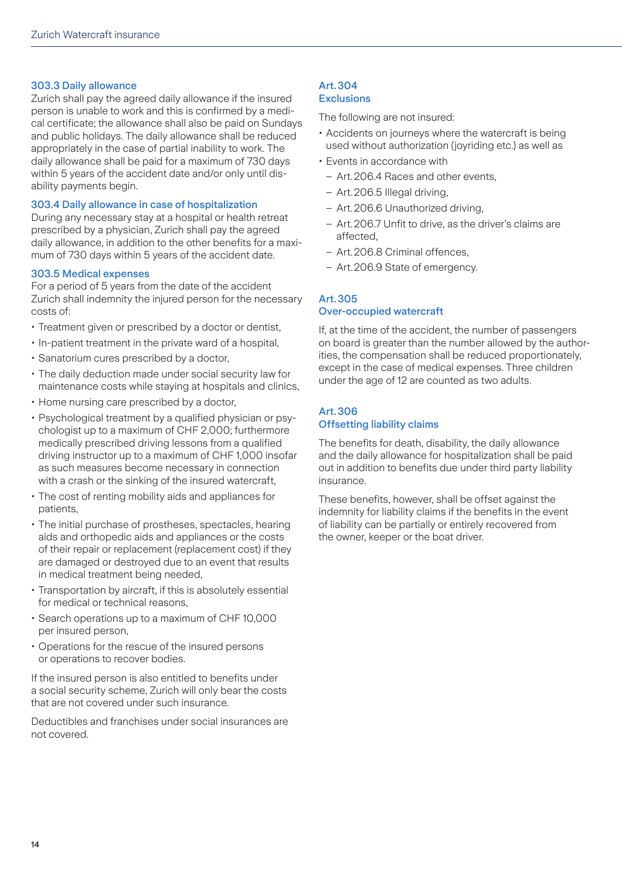### <span id="page-13-0"></span>303.3 Daily allowance

Zurich shall pay the agreed daily allowance if the insured person is unable to work and this is confirmed by a medical certificate; the allowance shall also be paid on Sundays and public holidays. The daily allowance shall be reduced appropriately in the case of partial inability to work. The daily allowance shall be paid for a maximum of 730 days within 5 years of the accident date and/or only until disability payments begin.

### 303.4 Daily allowance in case of hospitalization

During any necessary stay at a hospital or health retreat prescribed by a physician, Zurich shall pay the agreed daily allowance, in addition to the other benefits for a maximum of 730 days within 5 years of the accident date.

### 303.5 Medical expenses

For a period of 5 years from the date of the accident Zurich shall indemnity the injured person for the necessary costs of:

- Treatment given or prescribed by a doctor or dentist,
- In-patient treatment in the private ward of a hospital,
- Sanatorium cures prescribed by a doctor,
- The daily deduction made under social security law for maintenance costs while staying at hospitals and clinics,
- Home nursing care prescribed by a doctor,
- Psychological treatment by a qualified physician or psychologist up to a maximum of CHF 2,000; furthermore medically prescribed driving lessons from a qualified driving instructor up to a maximum of CHF 1,000 insofar as such measures become necessary in connection with a crash or the sinking of the insured watercraft,
- The cost of renting mobility aids and appliances for patients,
- The initial purchase of prostheses, spectacles, hearing aids and orthopedic aids and appliances or the costs of their repair or replacement (replacement cost) if they are damaged or destroyed due to an event that results in medical treatment being needed,
- Transportation by aircraft, if this is absolutely essential for medical or technical reasons,
- Search operations up to a maximum of CHF 10,000 per insured person,
- Operations for the rescue of the insured persons or operations to recover bodies.

If the insured person is also entitled to benefits under a social security scheme, Zurich will only bear the costs that are not covered under such insurance.

Deductibles and franchises under social insurances are not covered.

#### Art.304 **Exclusions**

The following are not insured:

- Accidents on journeys where the watercraft is being used without authorization (joyriding etc.) as well as
- Events in accordance with
	- Art. 206.4 Races and other events,
	- – Art.206.5 Illegal driving,
	- – Art.206.6 Unauthorized driving,
	- Art. 206.7 Unfit to drive, as the driver's claims are affected,
	- Art. 206.8 Criminal offences,
	- Art. 206.9 State of emergency.

### Art.305 Over-occupied watercraft

If, at the time of the accident, the number of passengers on board is greater than the number allowed by the authorities, the compensation shall be reduced proportionately, except in the case of medical expenses. Three children under the age of 12 are counted as two adults.

### Art.306 Offsetting liability claims

The benefits for death, disability, the daily allowance and the daily allowance for hospitalization shall be paid out in addition to benefits due under third party liability insurance.

These benefits, however, shall be offset against the indemnity for liability claims if the benefits in the event of liability can be partially or entirely recovered from the owner, keeper or the boat driver.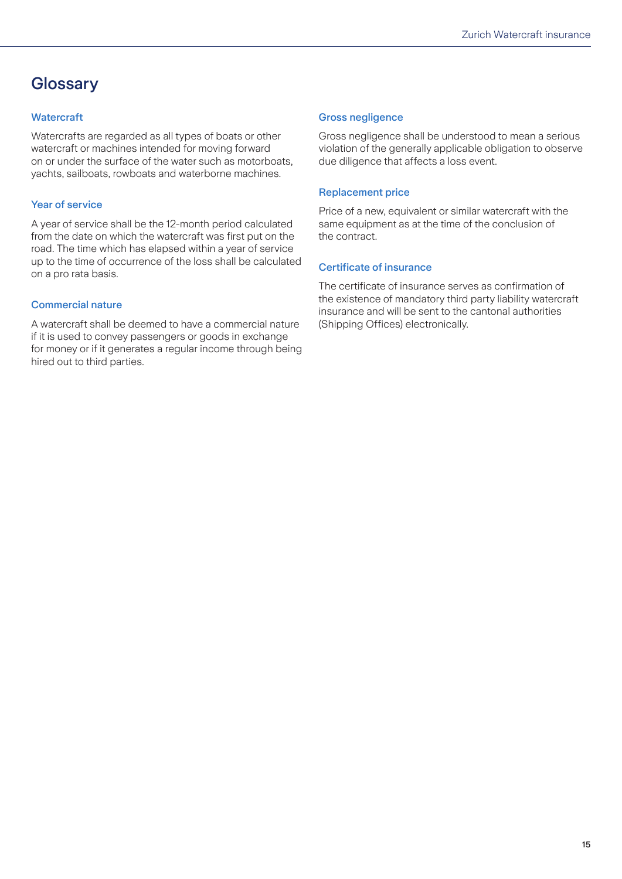### <span id="page-14-0"></span>**Glossary**

### **Watercraft**

Watercrafts are regarded as all types of boats or other watercraft or machines intended for moving forward on or under the surface of the water such as motorboats, yachts, sailboats, rowboats and waterborne machines.

### Year of service

A year of service shall be the 12-month period calculated from the date on which the watercraft was first put on the road. The time which has elapsed within a year of service up to the time of occurrence of the loss shall be calculated on a pro rata basis.

### Commercial nature

A watercraft shall be deemed to have a commercial nature if it is used to convey passengers or goods in exchange for money or if it generates a regular income through being hired out to third parties.

### Gross negligence

Gross negligence shall be understood to mean a serious violation of the generally applicable obligation to observe due diligence that affects a loss event.

### Replacement price

Price of a new, equivalent or similar watercraft with the same equipment as at the time of the conclusion of the contract.

### Certificate of insurance

The certificate of insurance serves as confirmation of the existence of mandatory third party liability watercraft insurance and will be sent to the cantonal authorities (Shipping Offices) electronically.